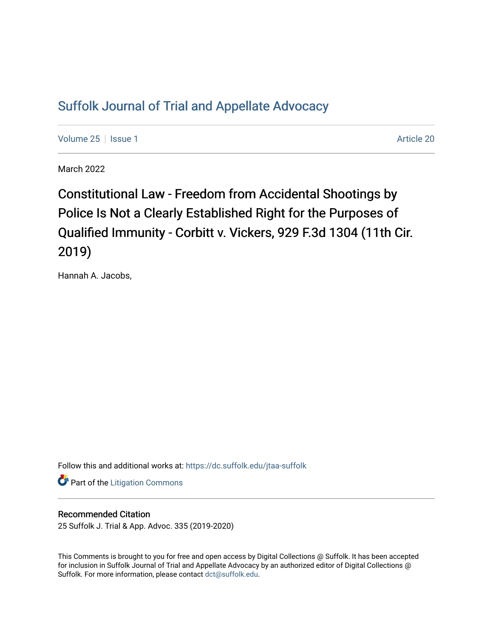## [Suffolk Journal of Trial and Appellate Advocacy](https://dc.suffolk.edu/jtaa-suffolk)

[Volume 25](https://dc.suffolk.edu/jtaa-suffolk/vol25) | [Issue 1](https://dc.suffolk.edu/jtaa-suffolk/vol25/iss1) Article 20

March 2022

Constitutional Law - Freedom from Accidental Shootings by Police Is Not a Clearly Established Right for the Purposes of Qualified Immunity - Corbitt v. Vickers, 929 F.3d 1304 (11th Cir. 2019)

Hannah A. Jacobs,

Follow this and additional works at: [https://dc.suffolk.edu/jtaa-suffolk](https://dc.suffolk.edu/jtaa-suffolk?utm_source=dc.suffolk.edu%2Fjtaa-suffolk%2Fvol25%2Fiss1%2F20&utm_medium=PDF&utm_campaign=PDFCoverPages) 

**Part of the [Litigation Commons](https://network.bepress.com/hgg/discipline/910?utm_source=dc.suffolk.edu%2Fjtaa-suffolk%2Fvol25%2Fiss1%2F20&utm_medium=PDF&utm_campaign=PDFCoverPages)** 

## Recommended Citation

25 Suffolk J. Trial & App. Advoc. 335 (2019-2020)

This Comments is brought to you for free and open access by Digital Collections @ Suffolk. It has been accepted for inclusion in Suffolk Journal of Trial and Appellate Advocacy by an authorized editor of Digital Collections @ Suffolk. For more information, please contact [dct@suffolk.edu.](mailto:dct@suffolk.edu)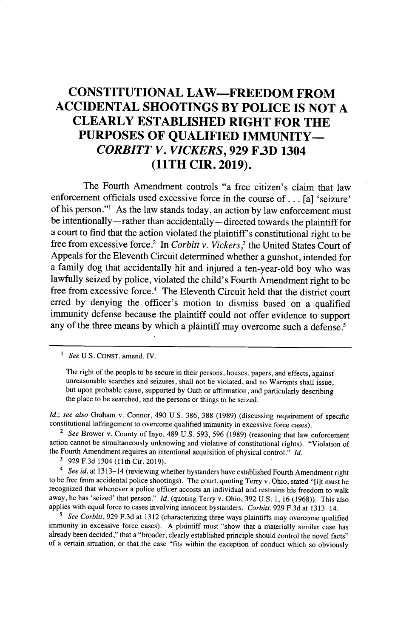## **CONSTITUTIONAL LAW-FREEDOM FROM ACCIDENTAL SHOOTINGS BY POLICE IS NOT A CLEARLY ESTABLISHED RIGHT FOR THE PURPOSES OF QUALIFIED IMMUNITY-***CORBITT V. VICKERS,* **929 F.3D 1304 (11TH CIR. 2019).**

The Fourth Amendment controls "a free citizen's claim that law enforcement officials used excessive force in the course of **...** [a] 'seizure' of his person."1 As the law stands today, an action **by** law enforcement must be intentionally **-** rather than accidentally **-** directed towards the plaintiff for a court to find that the action violated the plaintiff's constitutional right to be free from excessive force.2 In *Corbitt v. Vickers,3* the United States Court of Appeals for the Eleventh Circuit determined whether a gunshot, intended for a family dog that accidentally hit and injured a ten-year-old boy who was lawfully seized **by** police, violated the child's Fourth Amendment right to be free from excessive force.<sup>4</sup> The Eleventh Circuit held that the district court erred **by** denying the officer's motion to dismiss based on a qualified immunity defense because the plaintiff could not offer evidence to support any of the three means **by** which a plaintiff may overcome such a defense.<sup>5</sup>

*See* U.S. CONST. amend. IV.

The right of the people to be secure in their persons, houses, papers, and effects, against unreasonable searches and seizures, shall not be violated, and no Warrants shall issue, but upon probable cause, supported by Oath or affirmation, and particularly describing the place to be searched, and the persons or things to be seized.

*Id.; see also* Graham v. Connor, 490 U.S. 386, 388 (1989) (discussing requirement of specific constitutional infringement to overcome qualified immunity in excessive force cases).

*2 See* Brower v. County of Inyo, 489 U.S. 593, 596 (1989) (reasoning that law enforcement action cannot be simultaneously unknowing and violative of constitutional rights). "Violation of the Fourth Amendment requires an intentional acquisition of physical control." *Id.*

**'** 929 F.3d 1304 (1lth Cir. 2019).

*4 See id.* at 1313-14 (reviewing whether bystanders have established Fourth Amendment right to be free from accidental police shootings). The court, quoting Terry v. Ohio, stated "[i]t must be recognized that whenever a police officer accosts an individual and restrains his freedom to walk away, he has 'seized' that person." *Id.* (quoting Terry v. Ohio, 392 U.S. 1, 16 (1968)). This also applies with equal force to cases involving innocent bystanders. *Corbitt,* 929 F.3d at 1313-14.

<sup>5</sup> See Corbitt, 929 F.3d at 1312 (characterizing three ways plaintiffs may overcome qualified immunity in excessive force cases). A plaintiff must "show that a materially similar case has already been decided," that a "broader, clearly established principle should control the novel facts" of a certain situation, or that the case "fits within the exception of conduct which so obviously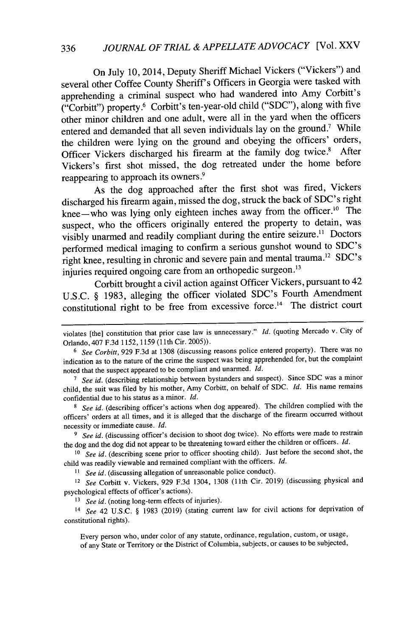On July 10, 2014, Deputy Sheriff Michael Vickers ("Vickers") and several other Coffee County Sheriff's Officers in Georgia were tasked with apprehending a criminal suspect who had wandered into Amy Corbitt's ("Corbitt") property.6 Corbitt's ten-year-old child ("SDC"), along with five other minor children and one adult, were all in the yard when the officers entered and demanded that all seven individuals lay on the ground.<sup>7</sup> While the children were lying on the ground and obeying the officers' orders, Officer Vickers discharged his firearm at the family dog twice.<sup>8</sup> After Vickers's first shot missed, the dog retreated under the home before reappearing to approach its owners.<sup>9</sup>

As the dog approached after the first shot was fired, Vickers discharged his firearm again, missed the dog, struck the back of SDC's right knee-who was lying only eighteen inches away from the officer.<sup>10</sup> The suspect, who the officers originally entered the property to detain, was visibly unarmed and readily compliant during the entire seizure.<sup>11</sup> Doctors performed medical imaging to confirm a serious gunshot wound to SDC's right knee, resulting in chronic and severe pain and mental trauma.<sup>12</sup> SDC's injuries required ongoing care from an orthopedic surgeon.<sup>13</sup>

Corbitt brought a civil action against Officer Vickers, pursuant to 42 U.S.C. § 1983, alleging the officer violated SDC's Fourth Amendment constitutional right to be free from excessive force.<sup>14</sup> The district court

**11** *See id.* (discussing allegation of unreasonable police conduct).

<sup>12</sup> See Corbitt v. Vickers, 929 F.3d 1304, 1308 (11th Cir. 2019) (discussing physical and psychological effects of officer's actions).

**13** *See id.* (noting long-term effects of injuries).

14 *See* 42 U.S.C. § 1983 (2019) (stating current law for civil actions for deprivation of constitutional rights).

Every person who, under color of any statute, ordinance, regulation, custom, or usage, of any State or Territory or the District of Columbia, subjects, or causes to be subjected,

violates [the] constitution that prior case law is unnecessary." *Id.* (quoting Mercado v. City of Orlando, 407 F.3d 1152, 1159 **(11** th Cir. 2005)).

*<sup>6</sup> See Corbitt,* 929 F.3d at 1308 (discussing reasons police entered property). There was no indication as to the nature of the crime the suspect was being apprehended for, but the complaint noted that the suspect appeared to be compliant and unarmed. *Id.*

**<sup>7</sup>** *See id.* (describing relationship between bystanders and suspect). Since SDC was a minor child, the suit was filed by his mother, Amy Corbitt, on behalf of SDC. *Id.* His name remains confidential due to his status as a minor. *Id.*

**<sup>8</sup>***See id.* (describing officer's actions when dog appeared). The children complied with the officers' orders at all times, and it is alleged that the discharge of the firearm occurred without necessity or immediate cause. *Id.*

<sup>&</sup>lt;sup>9</sup> See id. (discussing officer's decision to shoot dog twice). No efforts were made to restrain the dog and the dog did not appear to be threatening toward either the children or officers. *Id.*

<sup>&</sup>lt;sup>10</sup> See id. (describing scene prior to officer shooting child). Just before the second shot, the child was readily viewable and remained compliant with the officers. *Id.*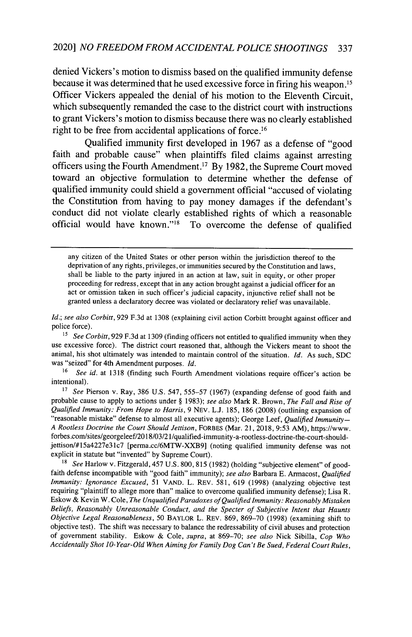## 2020] *NO FREEDOM FROM ACCIDENTAL POLICE SHOOTINGS* 337

denied Vickers's motion to dismiss based on the qualified immunity defense because it was determined that he used excessive force in firing his weapon.<sup>15</sup> Officer Vickers appealed the denial of his motion to the Eleventh Circuit, which subsequently remanded the case to the district court with instructions to grant Vickers's motion to dismiss because there was no clearly established right to be free from accidental applications of force.1<sup>6</sup>

Qualified immunity first developed in **1967** as a defense of "good faith and probable cause" when plaintiffs filed claims against arresting officers using the Fourth Amendment.<sup>17</sup> By 1982, the Supreme Court moved toward an objective formulation to determine whether the defense of qualified immunity could shield a government official "accused of violating the Constitution from having to pay money damages if the defendant's conduct did not violate clearly established rights of which a reasonable official would have known."<sup>18</sup> To overcome the defense of qualified

any citizen of the United States or other person within the jurisdiction thereof to the deprivation of any rights, privileges, or immunities secured by the Constitution and laws, shall be liable to the party injured in an action at law, suit in equity, or other proper proceeding for redress, except that in any action brought against a judicial officer for an act or omission taken in such officer's judicial capacity, injunctive relief shall not be granted unless a declaratory decree was violated or declaratory relief was unavailable.

*Id.; see also Corbitt,* 929 F.3d at 1308 (explaining civil action Corbitt brought against officer and police force).

<sup>15</sup> See Corbitt, 929 F.3d at 1309 (finding officers not entitled to qualified immunity when they use excessive force). The district court reasoned that, although the Vickers meant to shoot the animal, his shot ultimately was intended to maintain control of the situation. *Id.* As such, SDC was "seized" for 4th Amendment purposes. *Id.*

<sup>16</sup> See id. at 1318 (finding such Fourth Amendment violations require officer's action be intentional).

<sup>17</sup>*See* Pierson v. Ray, 386 U.S. 547, 555-57 (1967) (expanding defense of good faith and probable cause to apply to actions under § 1983); *see also* Mark R. Brown, *The Fall and Rise of Qualified Immunity: From Hope to Harris,* 9 NEV. L.J. 185, 186 (2008) (outlining expansion of "reasonable mistake" defense to almost all executive agents); George Leef, *Qualified Immunity-A Rootless Doctrine the* Court Should *Jettison,* FORBES (Mar. 21, 2018, 9:53 AM), https://www. forbes.com/sites/georgeleef/2018/03/21/qualified-immunity-a-rootless-doctrine-the-court-shouldjettison/#15a4227e31c7 [perma.cc/6MTW-XXB9] (noting qualified immunity defense was not explicit in statute but "invented" by Supreme Court).

**18** *See* Harlow v. Fitzgerald, 457 U.S. 800,815 (1982) (holding "subjective element" of goodfaith defense incompatible with "good faith" immunity); *see also* Barbara E. Armacost, *Qualified Immunity: Ignorance Excused,* 51 VAND. L. REV. 581, 619 (1998) (analyzing objective test requiring "plaintiff to allege more than" malice to overcome qualified immunity defense); Lisa R. Eskow & Kevin W. Cole, *The Unqualified Paradoxes of Qualified Immunity: Reasonably Mistaken Beliefs, Reasonably Unreasonable Conduct, and the Specter of Subjective Intent that Haunts Objective Legal Reasonableness,* 50 BAYLOR L. REV. 869, 869-70 (1998) (examining shift to objective test). The shift was necessary to balance the redressability of civil abuses and protection of government stability. Eskow & Cole, *supra,* at 869-70; *see also* Nick Sibilla, *Cop Who Accidentally Shot 10-Year-Old When Aiming for Family Dog Can't Be Sued, Federal Court Rules,*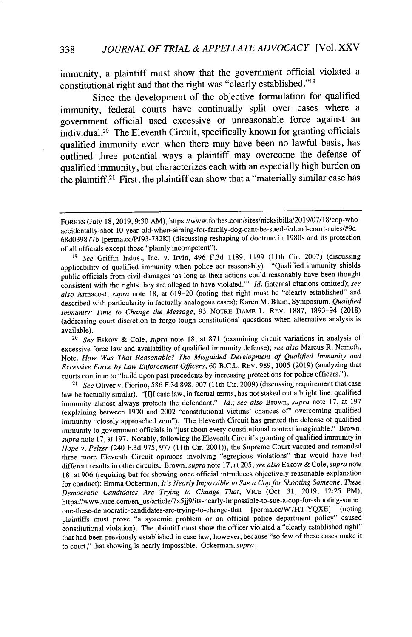immunity, a plaintiff must show that the government official violated a constitutional right and that the right was "clearly established."<sup>19</sup>

Since the development of the objective formulation for qualified immunity, federal courts have continually split over cases where a government official used excessive or unreasonable force against an  $\overline{\text{individual}}$ .<sup>20</sup> The Eleventh Circuit, specifically known for granting officials qualified immunity even when there may have been no lawful basis, has outlined three potential ways a plaintiff may overcome the defense of qualified immunity, but characterizes each with an especially high burden on the plaintiff.<sup>21</sup> First, the plaintiff can show that a "materially similar case has

<sup>20</sup>*See* Eskow & Cole, *supra* note 18, at 871 (examining circuit variations in analysis of excessive force law and availability of qualified immunity defense); *see also* Marcus R. Nemeth, Note, *How Was That Reasonable? The Misguided Development of Qualified Immunity and Excessive Force by Law Enforcement Officers,* 60 B.C.L. REV. 989, 1005 (2019) (analyzing that courts continue to "build upon past precedents by increasing protections for police officers.").

<sup>21</sup>*See* Oliver v. Fiorino, 586 F.3d 898, 907 **(11** th Cir. 2009) (discussing requirement that case law be factually similar). "[I]f case law, in factual terms, has not staked out a bright line, qualified immunity almost always protects the defendant." *Id.; see also* Brown, *supra* note 17, at 197 (explaining between 1990 and 2002 "constitutional victims' chances *of'* overcoming qualified immunity "closely approached zero"). The Eleventh Circuit has granted the defense of qualified immunity to government officials in "just about every constitutional context imaginable." Brown, *supra* note 17, at 197. Notably, following the Eleventh Circuit's granting of qualified immunity in Hope v. Pelzer (240 F.3d 975, 977 (11th Cir. 2001)), the Supreme Court vacated and remanded three more Eleventh Circuit opinions involving "egregious violations" that would have had different results in other circuits. Brown, *supra* note 17, at 205; *see also* Eskow & Cole, *supra* note 18, at 906 (requiring but for showing once official introduces objectively reasonable explanation for conduct); Emma Ockerman, It's *Nearly Impossible to Sue a Cop for Shooting Someone. These Democratic Candidates Are Trying to Change That,* VICE (Oct. 31, 2019, 12:25 PM), https://www.vice.com/en\_us/article/7x5jj9/its-nearly-impossible-to-sue-a-cop-for-shooting-some one-these-democratic-candidates-are-trying-to-change-that [perma.cc/W7HT-YQXE] (noting plaintiffs must prove "a systemic problem or an official police department policy" caused constitutional violation). The plaintiff must show the officer violated a "clearly established right" that had been previously established in case law; however, because "so few of these cases make it to court," that showing is nearly impossible. Ockerman, *supra.*

FORBES (July 18, 2019, 9:30 AM), https://www.forbes.com/sites/nicksibilla/2019/O7/18/cop-whoaccidentally-shot- 10-year-old-when-aiming-for- family-dog-cant-be-sued-federal-court-rules/#gd 68d039877b [perma.cc/PJ93-732K] (discussing reshaping of doctrine in 1980s and its protection of all officials except those "plainly incompetent").

**<sup>19</sup>**See Griffin Indus., Inc. v. Irvin, 496 F.3d 1189, 1199 (lth Cir. 2007) (discussing applicability of qualified immunity when police act reasonably). "Qualified immunity shields public officials from civil damages 'as long as their actions could reasonably have been thought consistent with the rights they are alleged to have violated."' *Id.* (internal citations omitted); *see also* Armacost, *supra* note 18, at 619-20 (noting that right must be "clearly established" and described with particularity in factually analogous cases); Karen M. Blum, Symposium, *Qualified Immunity: Time to Change the Message,* 93 NOTRE DAME L. REV. 1887, 1893-94 (2018) (addressing court discretion to forgo tough constitutional questions when alternative analysis is available).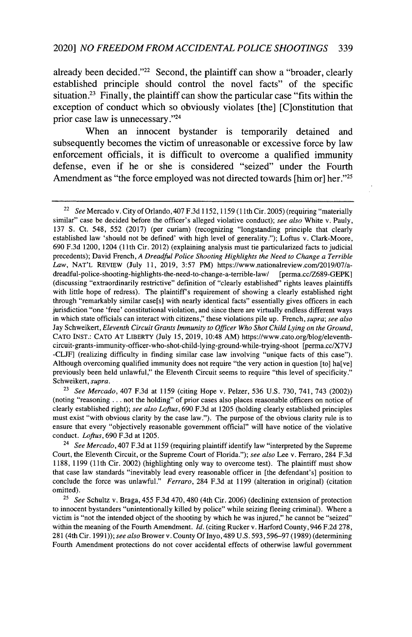already been decided." $2^2$  Second, the plaintiff can show a "broader, clearly established principle should control the novel facts" of the specific situation.<sup>23</sup> Finally, the plaintiff can show the particular case "fits within the exception of conduct which so obviously violates [the] [C]onstitution that prior case law is unnecessary."<sup>24</sup>

When an innocent bystander is temporarily detained and subsequently becomes the victim of unreasonable or excessive force by law enforcement officials, it is difficult to overcome a qualified immunity defense, even if he or she is considered "seized" under the Fourth Amendment as "the force employed was not directed towards [him or] her."<sup>25</sup>

<sup>23</sup>*See Mercado,* 407 F.3d at 1159 (citing Hope v. Pelzer, 536 U.S. 730, 741, 743 (2002)) (noting "reasoning ... not the holding" of prior cases also places reasonable officers on notice of clearly established right); *see also Loftus,* 690 F.3d at 1205 (holding clearly established principles must exist "with obvious clarity by the case law."). The purpose of the obvious clarity rule is to ensure that every "objectively reasonable government official" will have notice of the violative conduct. *Loftus,* 690 F.3d at 1205.

<sup>24</sup>*See Mercado,* 407 F.3d at 1159 (requiring plaintiff identify law "interpreted by the Supreme Court, the Eleventh Circuit, or the Supreme Court of Florida."); *see also* Lee v. Ferraro, 284 F.3d 1188, 1199 (11th Cir. 2002) (highlighting only way to overcome test). The plaintiff must show that case law standards "inevitably lead every reasonable officer in [the defendant's] position to conclude the force was unlawful." *Ferraro,* 284 F.3d at 1199 (alteration in original) (citation omitted).

<sup>25</sup>*See* Schultz v. Braga, 455 F.3d 470, 480 (4th Cir. 2006) (declining extension of protection to innocent bystanders "unintentionally killed by police" while seizing fleeing criminal). Where a victim is "not the intended object of the shooting by which he was injured," he cannot be "seized" within the meaning of the Fourth Amendment. *Id.* (citing Rucker v. Harford County, 946 F.2d 278, 281 (4th Cir. 1991)); *see also* Brower v. County Of Inyo, 489 U.S. 593,596-97 (1989) (determining Fourth Amendment protections do not cover accidental effects of otherwise lawful government

<sup>22</sup>*See* Mercado v. City of Orlando, 407 F.3d 1152, 1159 (1 **lth** Cir. 2005) (requiring "materially similar" case be decided before the officer's alleged violative conduct); *see also* White v. Pauly, 137 S. Ct. 548, 552 (2017) (per curiam) (recognizing "longstanding principle that clearly established law 'should not be defined' with high level of generality."); Loftus v. Clark-Moore, 690 F.3d 1200, 1204 **(11** th Cir. 2012) (explaining analysis must tie particularized facts to judicial precedents); David French, *A Dreadful Police Shooting Highlights the Need to Change a Terrible Law,* NAT'L REVIEW (July 11, 2019, 3:57 PM) https://www.nationalreview.com/2019/07/adreadful-police-shooting-highlights-the-need-to-change-a-terrible-law/ [perma.cc/Z689-GEPK] (discussing "extraordinarily restrictive" definition of "clearly established" rights leaves plaintiffs with little hope of redress). The plaintiff's requirement of showing a clearly established right through "remarkably similar case[s] with nearly identical facts" essentially gives officers in each jurisdiction "one 'free' constitutional violation, and since there are virtually endless different ways in which state officials can interact with citizens," these violations pile up. French, *supra; see also* Jay Schweikert, *Eleventh Circuit Grants Immunity to Officer Who Shot Child Lying on the Ground,* CATO INST.: CATO AT LIBERTY (July 15, 2019, 10:48 AM) https://www.cato.org/blog/eleventhcircuit-grants-immunity-officer-who-shot-child-lying-ground-while-trying-shoot [perma.cc/X7VJ -CLJF] (realizing difficulty in finding similar case law involving "unique facts of this case"). Although overcoming qualified immunity does not require "the very action in question  $[t_0]$  ha $[v_1]$ previously been held unlawful," the Eleventh Circuit seems to require "this level of specificity." Schweikert, *supra.*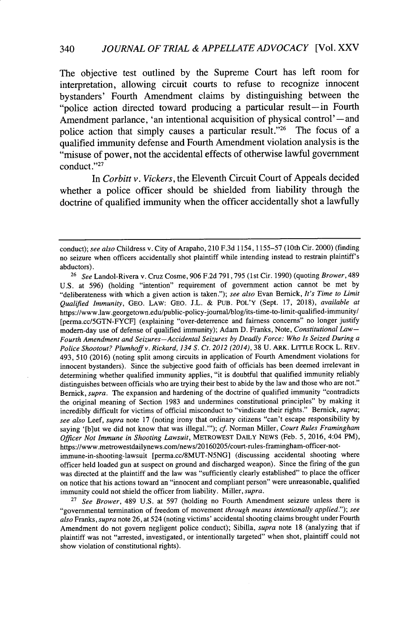The objective test outlined **by** the Supreme Court has left room for interpretation, allowing circuit courts to refuse to recognize innocent bystanders' Fourth Amendment claims **by** distinguishing between the "police action directed toward producing a particular result-in Fourth Amendment parlance, 'an intentional acquisition of physical control'-and police action that simply causes a particular result."<sup>26</sup> The focus of a qualified immunity defense and Fourth Amendment violation analysis is the "misuse of power, not the accidental effects of otherwise lawful government conduct."<sup>27</sup>

In *Corbitt v. Vickers,* the Eleventh Circuit Court of Appeals decided whether a police officer should be shielded from liability through the doctrine of qualified immunity when the officer accidentally shot a lawfully

was directed at the plaintiff and the law was "sufficiently clearly established" to place the officer on notice that his actions toward an "innocent and compliant person" were unreasonable, qualified immunity could not shield the officer from liability. Miller, *supra.*

<sup>27</sup>*See Brower,* 489 U.S. at 597 (holding no Fourth Amendment seizure unless there is "governmental termination of freedom of movement *through means intentionally applied."); see also Franks, supra* note 26, at 524 (noting victims' accidental shooting claims brought under Fourth Amendment do not govern negligent police conduct); Sibilla, *supra* note 18 (analyzing that if plaintiff was not "arrested, investigated, or intentionally targeted" when shot, plaintiff could not show violation of constitutional rights).

conduct); *see also* Childress v. City of Arapaho, 210 F.3d 1154, 1155-57 (10th Cir. 2000) (finding no seizure when officers accidentally shot plaintiff while intending instead to restrain plaintiff's abductors).

<sup>26</sup>*See* Landol-Rivera v. Cruz Cosine, 906 F.2d 791,795 (1st Cir. 1990) (quoting *Brower,* 489 U.S. at 596) (holding "intention" requirement of government action cannot be met by "deliberateness with which a given action is taken."); *see also* Evan Bernick, *It's Time to Limit Qualified Immunity,* GEO. LAW: GEO. J.L. & PUB. POL'Y (Sept. 17, 2018), *available at* https://www.law.georgetown.edu/public-policy-journal/blog/its-time-to-limit-qualified-immunity/ [perma.cc/5GTN-FYCF] (explaining "over-deterrence and fairness concerns" no longer justify modern-day use of defense of qualified immunity); Adam D. Franks, Note, *Constitutional Law-Fourth Amendment and Seizures -Accidental Seizures by Deadly Force: Who Is Seized During a Police Shootout? Plumhoff v. Rickard, 134* **S.** *Ct. 2012 (2014),* 38 U. ARK. LIrrLE ROCK L. REV. 493, 510 (2016) (noting split among circuits in application of Fourth Amendment violations for innocent bystanders). Since the subjective good faith of officials has been deemed irrelevant in determining whether qualified immunity applies, "it is doubtful that qualified immunity reliably distinguishes between officials who are trying their best to abide by the law and those who are not.' Bernick, *supra.* The expansion and hardening of the doctrine of qualified immunity "contradicts the original meaning of Section 1983 and undermines constitutional principles" by making it incredibly difficult for victims of official misconduct to "vindicate their rights." Bernick, *supra; see also* Leef, *supra* note 17 (noting irony that ordinary citizens "can't escape responsibility by saying '[blut we did not know that was illegal."'); *cf.* Norman Miller, *Court Rules Framingham Officer Not Immune in Shooting Lawsuit,* METROWEST DAILY NEWS (Feb. **5,** 2016, 4:04 PM), https://www.metrowestdailynews.com/news/20160205/court-rules-framingham-officer-notimmune-in-shooting-lawsuit [perma.cc/8MUT-N5NG] (discussing accidental shooting where officer held loaded gun at suspect on ground and discharged weapon). Since the firing of the gun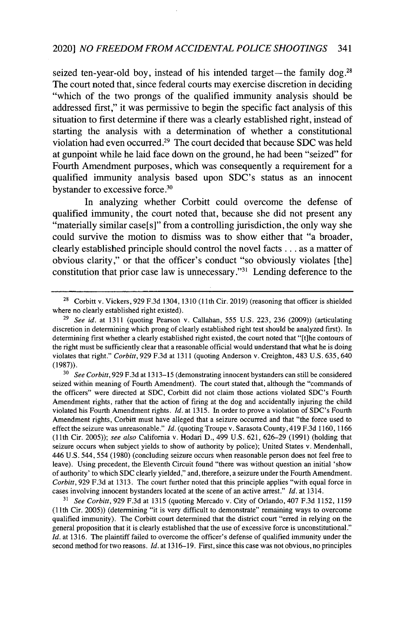seized ten-year-old boy, instead of his intended target-the family dog.<sup>28</sup> The court noted that, since federal courts may exercise discretion in deciding "which of the two prongs of the qualified immunity analysis should be addressed first," it was permissive to begin the specific fact analysis of this situation to first determine if there was a clearly established right, instead of starting the analysis with a determination of whether a constitutional violation had even occurred.<sup>29</sup> The court decided that because SDC was held at gunpoint while he laid face down on the ground, he had been "seized" for Fourth Amendment purposes, which was consequently a requirement for a qualified immunity analysis based upon SDC's status as an innocent bystander to excessive force.<sup>30</sup>

In analyzing whether Corbitt could overcome the defense of qualified immunity, the court noted that, because she did not present any "materially similar case[s]" from a controlling jurisdiction, the only way she could survive the motion to dismiss was to show either that "a broader, clearly established principle should control the novel facts.., as a matter of obvious clarity," or that the officer's conduct "so obviously violates [the] constitution that prior case law is unnecessary."<sup>31</sup> Lending deference to the

**<sup>30</sup>***See Corbitt,* 929 F.3d at 1313-15 (demonstrating innocent bystanders can still be considered seized within meaning of Fourth Amendment). The court stated that, although the "commands of the officers" were directed at SDC, Corbitt did not claim those actions violated SDC's Fourth Amendment rights, rather that the action of firing at the dog and accidentally injuring the child violated his Fourth Amendment rights. *Id.* at 1315. In order to prove a violation of SDC's Fourth Amendment rights, Corbitt must have alleged that a seizure occurred and that "the force used to effect the seizure was unreasonable." *Id.* (quoting Troupe v. Sarasota County, 419 F.3d 1160, 1166 **(11th** Cir. 2005)); *see also* California v. Hodari D., 499 U.S. 621, 626-29 (1991) (holding that seizure occurs when subject yields to show of authority by police); United States v. Mendenhall, 446 U.S. 544, 554 (1980) (concluding seizure occurs when reasonable person does not feel free to leave). Using precedent, the Eleventh Circuit found "there was without question an initial 'show of authority' to which SDC clearly yielded," and, therefore, a seizure under the Fourth Amendment. *Corbitt,* 929 F.3d at 1313. The court further noted that this principle applies "with equal force in cases involving innocent bystanders located at the scene of an active arrest." *Id.* at 1314.

<sup>31</sup>*See Corbitt,* 929 F.3d at 1315 (quoting Mercado v. City of Orlando, 407 F.3d 1152, 1159 (11 th Cir. 2005)) (determining "it is very difficult to demonstrate" remaining ways to overcome qualified immunity). The Corbitt court determined that the district court "erred in relying on the general proposition that it is clearly established that the use of excessive force is unconstitutional." *Id.* at 1316. The plaintiff failed to overcome the officer's defense of qualified immunity under the second method for two reasons. *Id.* at 1316-19. First, since this case was not obvious, no principles

<sup>&</sup>lt;sup>28</sup> Corbitt v. Vickers, 929 F.3d 1304, 1310 (11th Cir. 2019) (reasoning that officer is shielded where no clearly established right existed).

<sup>29</sup>*See id.* at 1311 (quoting Pearson v. Callahan, 555 U.S. 223, 236 (2009)) (articulating discretion in determining which prong of clearly established right test should be analyzed first). In determining first whether a clearly established right existed, the court noted that "[tihe contours of the right must be sufficiently clear that a reasonable official would understand that what he is doing violates that right." *Corbitt,* 929 F.3d at 1311 (quoting Anderson v. Creighton, 483 U.S. 635, 640 (1987)).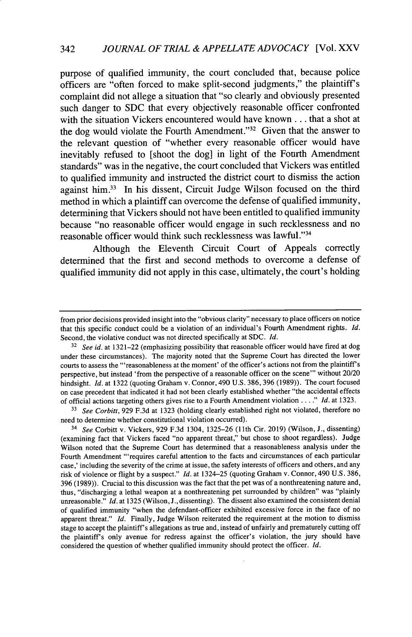purpose of qualified immunity, the court concluded that, because police officers are "often forced to make split-second judgments," the plaintiff's complaint did not allege a situation that "so clearly and obviously presented such danger to SDC that every objectively reasonable officer confronted with the situation Vickers encountered would have known **...** that a shot at the dog would violate the Fourth Amendment." $32$  Given that the answer to the relevant question of "whether every reasonable officer would have inevitably refused to [shoot the dog] in light of the Fourth Amendment standards" was in the negative, the court concluded that Vickers was entitled to qualified immunity and instructed the district court to dismiss the action against him.<sup>33</sup> In his dissent, Circuit Judge Wilson focused on the third method in which a plaintiff can overcome the defense of qualified immunity, determining that Vickers should not have been entitled to qualified immunity because "no reasonable officer would engage in such recklessness and no reasonable officer would think such recklessness was lawful."34

Although the Eleventh Circuit Court of Appeals correctly determined that the first and second methods to overcome a defense of qualified immunity did not apply in this case, ultimately, the court's holding

<sup>33</sup> See Corbitt, 929 F.3d at 1323 (holding clearly established right not violated, therefore no need to determine whether constitutional violation occurred).

*34 See* Corbitt v. Vickers, 929 F.3d 1304, 1325-26 (1lth Cir. 2019) (Wilson, J., dissenting) (examining fact that Vickers faced "no apparent threat," but chose to shoot regardless). Judge Wilson noted that the Supreme Court has determined that a reasonableness analysis under the Fourth Amendment "'requires careful attention to the facts and circumstances of each particular case,' including the severity of the crime at issue, the safety interests of officers and others, and any risk of violence or flight by a suspect." *Id.* at 1324-25 (quoting Graham v. Connor, 490 U.S. 386, 396 (1989)). Crucial to this discussion was the fact that the pet was of a nonthreatening nature and, thus, "discharging a lethal weapon at a nonthreatening pet surrounded by children" was "plainly unreasonable." *Id.* at 1325 (Wilson, J., dissenting). The dissent also examined the consistent denial of qualified immunity "when the defendant-officer exhibited excessive force in the face of no apparent threat." *Id.* Finally, Judge Wilson reiterated the requirement at the motion to dismiss stage to accept the plaintiff's allegations as true and, instead of unfairly and prematurely cutting off the plaintiff's only avenue for redress against the officer's violation, the jury should have considered the question of whether qualified immunity should protect the officer. *Id.*

from prior decisions provided insight into the "obvious clarity" necessary to place officers on notice that this specific conduct could be a violation of an individual's Fourth Amendment rights.  $Id$ . Second, the violative conduct was not directed specifically at SDC. *Id.*

<sup>32</sup>*See id.* at 1321-22 (emphasizing possibility that reasonable officer would have fired at dog under these circumstances). The majority noted that the Supreme Court has directed the lower courts to assess the "'reasonableness at the moment' of the officer's actions not from the plaintiff's perspective, but instead 'from the perspective of a reasonable officer on the scene"' without 20/20 hindsight. *Id.* at 1322 (quoting Graham v. Connor, 490 U.S. 386, 396 (1989)). The court focused on case precedent that indicated it had not been clearly established whether "the accidental effects of official actions targeting others gives rise to a Fourth Amendment violation **....** *Id.* at 1323.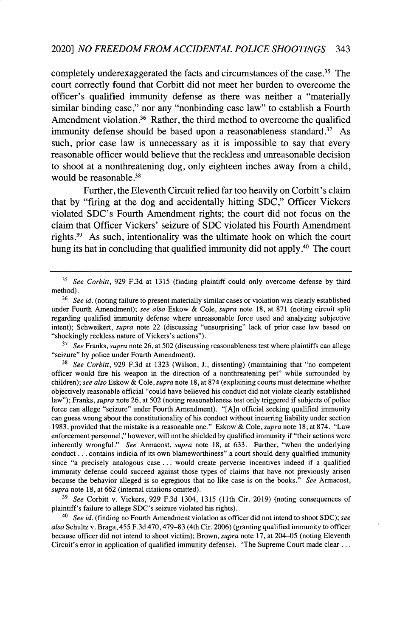completely underexaggerated the facts and circumstances of the case.<sup>35</sup> The court correctly found that Corbitt did not meet her burden to overcome the officer's qualified immunity defense as there was neither a "materially similar binding case," nor any "nonbinding case law" to establish a Fourth Amendment violation. $36$  Rather, the third method to overcome the qualified immunity defense should be based upon a reasonableness standard.<sup>37</sup> As such, prior case law is unnecessary as it is impossible to say that every reasonable officer would believe that the reckless and unreasonable decision to shoot at a nonthreatening dog, only eighteen inches away from a child, would be reasonable.<sup>38</sup>

Further, the Eleventh Circuit relied far too heavily on Corbitt's claim that by "firing at the dog and accidentally hitting SDC," Officer Vickers violated SDC's Fourth Amendment rights; the court did not focus on the claim that Officer Vickers' seizure of SDC violated his Fourth Amendment rights **.3** As such, intentionality was the ultimate hook on which the court hung its hat in concluding that qualified immunity did not apply.<sup>40</sup> The court

**37** *See* Franks, *supra* note 26, at 502 (discussing reasonableness test where plaintiffs can allege "seizure" by police under Fourth Amendment).

<sup>38</sup>*See Corbitt,* 929 F.3d at 1323 (Wilson, J., dissenting) (maintaining that "no competent officer would fire his weapon in the direction of a nonthreatening pet" while surrounded by children); *see also* Eskow & Cole, *supra* note 18, at 874 (explaining courts must determine whether objectively reasonable official "could have believed his conduct did not violate clearly established law"); Franks, *supra* note 26, at 502 (noting reasonableness test only triggered if subjects of police force can allege "seizure" under Fourth Amendment). "[A]n official seeking qualified immunity can guess wrong about the constitutionality of his conduct without incurring liability under section 1983, provided that the mistake is a reasonable one." Eskow & Cole, *supra* note 18, at 874. "Law enforcement personnel," however, will not be shielded by qualified immunity if "their actions were inherently wrongful." *See* Armacost, *supra* note 18, at 633. Further, "when the underlying conduct.., contains indicia of its own blameworthiness" a court should deny qualified immunity since "a precisely analogous case **...** would create perverse incentives indeed if a qualified immunity defense could succeed against those types of claims that have not previously arisen because the behavior alleged is so egregious that no like case is on the books." *See* Armacost, *supra* note 18, at 662 (internal citations omitted).

**39** *See* Corbitt v. Vickers, 929 F.3d 1304, 1315 (11th Cir. 2019) (noting consequences of plaintiff's failure to allege SDC's seizure violated his rights).

*<sup>40</sup>See id.* (finding no Fourth Amendment violation as officer did not intend to shoot SDC); *see also* Schultz v. Braga, 455 F.3d 470,479-83 (4th Cir. 2006) (granting qualified immunity to officer because officer did not intend to shoot victim); Brown, *supra* note 17, at 204-05 (noting Eleventh Circuit's error in application of qualified immunity defense). "The Supreme Court made clear ...

**<sup>35</sup>***See Corbitt,* 929 F.3d at 1315 (finding plaintiff could only overcome defense by third method).

<sup>&</sup>lt;sup>36</sup> See id. (noting failure to present materially similar cases or violation was clearly established under Fourth Amendment); *see also* Eskow & Cole, *supra* note 18, at 871 (noting circuit split regarding qualified immunity defense where unreasonable force used and analyzing subjective intent); Schweikert, supra note 22 (discussing "unsurprising" lack of prior case law based on "shockingly reckless nature of Vickers's actions").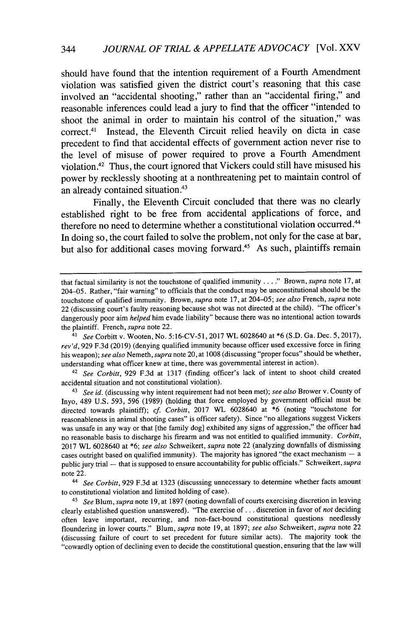should have found that the intention requirement of a Fourth Amendment violation was satisfied given the district court's reasoning that this case involved an "accidental shooting," rather than an "accidental firing," and reasonable inferences could lead a jury to find that the officer "intended to shoot the animal in order to maintain his control of the situation," was correct. <sup>4</sup>1 Instead, the Eleventh Circuit relied heavily on dicta in case precedent to find that accidental effects of government action never rise to the level of misuse of power required to prove a Fourth Amendment violation.<sup>42</sup>Thus, the court ignored that Vickers could still have misused his power **by** recklessly shooting at a nonthreatening pet to maintain control of an already contained situation.<sup>43</sup>

Finally, the Eleventh Circuit concluded that there was no clearly established right to be free from accidental applications of force, and therefore no need to determine whether a constitutional violation occurred. <sup>44</sup> In doing so, the court failed to solve the problem, not only for the case at bar, but also for additional cases moving forward.<sup>45</sup> As such, plaintiffs remain

<sup>42</sup>*See Corbitt,* 929 F.3d at 1317 (finding officer's lack of intent to shoot child created accidental situation and not constitutional violation).

<sup>43</sup>*See id.* (discussing why intent requirement had not been met); *see also* Brower v. County of Inyo, 489 U.S. 593, 596 (1989) (holding that force employed by government official must be directed towards plaintiff); *cf. Corbitt,* 2017 WL 6028640 at \*6 (noting "touchstone for reasonableness in animal shooting cases" is officer safety). Since "no allegations suggest Vickers was unsafe in any way or that [the family dog] exhibited any signs of aggression," the officer had no reasonable basis to discharge his firearm and was not entitled to qualified immunity. *Corbitt,* 2017 WL 6028640 at \*6; *see also* Schweikert, *supra* note 22 (analyzing downfalls of dismissing cases outright based on qualified immunity). The majority has ignored "the exact mechanism **-** a public jury trial - that is supposed to ensure accountability for public officials." Schweikert, *supra* note 22.

*<sup>44</sup>See Corbitt,* 929 F.3d at 1323 (discussing unnecessary to determine whether facts amount to constitutional violation and limited holding of case).

<sup>45</sup>*See* Blum, *supra* note 19, at 1897 (noting downfall of courts exercising discretion in leaving clearly established question unanswered). "The exercise of... discretion in favor of *not* deciding often leave important, recurring, and non-fact-bound constitutional questions needlessly floundering in lower courts." Blum, *supra* note 19, at 1897; *see also* Schweikert, *supra* note 22 (discussing failure of court to set precedent for future similar acts). The majority took the "cowardly option of declining even to decide the constitutional question, ensuring that the law will

that factual similarity is not the touchstone of qualified immunity **....** Brown, *supra* note 17, at 204-05. Rather, "fair warning" to officials that the conduct may be unconstitutional should be the touchstone of qualified immunity. Brown, *supra* note 17, at 204-05; *see also* French, *supra* note 22 (discussing court's faulty reasoning because shot was not directed at the child). "The officer's dangerously poor aim *helped* him evade liability" because there was no intentional action towards the plaintiff. French, *supra* note 22.

<sup>41</sup>*See* Corbitt v. Wooten, No. 5:16-CV-51, 2017 WL 6028640 at \*6 (S.D. Ga. Dec. 5, 2017), *rev'd,* 929 F.3d (2019) (denying qualified immunity because officer used excessive force in firing his weapon); *see also* Nemeth, *supra* note 20, at 1008 (discussing "proper focus" should be whether, understanding what officer knew at time, there was governmental interest in action).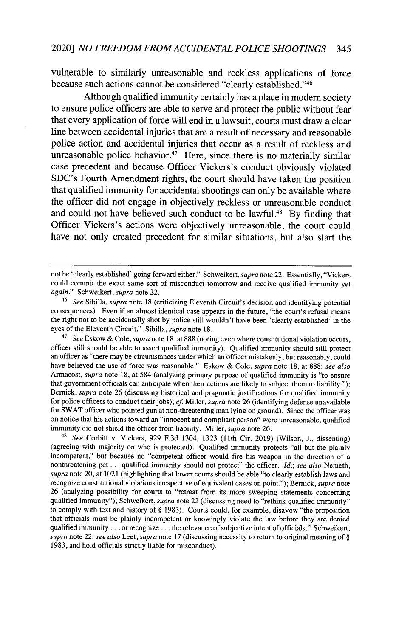vulnerable to similarly unreasonable and reckless applications of force because such actions cannot be considered "clearly established."<sup>46</sup>

Although qualified immunity certainly has a place in modem society to ensure police officers are able to serve and protect the public without fear that every application of force will end in a lawsuit, courts must draw a clear line between accidental injuries that are a result of necessary and reasonable police action and accidental injuries that occur as a result of reckless and unreasonable police behavior.<sup>47</sup> Here, since there is no materially similar case precedent and because Officer Vickers's conduct obviously violated SDC's Fourth Amendment rights, the court should have taken the position that qualified immunity for accidental shootings can only be available where the officer did not engage in objectively reckless or unreasonable conduct and could not have believed such conduct to be lawful.<sup>48</sup> By finding that Officer Vickers's actions were objectively unreasonable, the court could have not only created precedent for similar situations, but also start the

<sup>48</sup>*See* Corbitt v. Vickers, **929** F.3d 1304, 1323 (1lth Cir. 2019) (Wilson, J., dissenting) (agreeing with majority on who is protected). Qualified immunity protects "all but the plainly incompetent," but because no "competent officer would fire his weapon in the direction of a nonthreatening pet... qualified immunity should not protect" the officer. *Id.; see also* Nemeth, *supra* note 20, at 1021 (highlighting that lower courts should be able "to clearly establish laws and recognize constitutional violations irrespective of equivalent cases on point."); Bernick, *supra* note 26 (analyzing possibility for courts to "retreat from its more sweeping statements concerning qualified immunity"); Schweikert, *supra* note 22 (discussing need to "rethink qualified immunity" to comply with text and history of § 1983). Courts could, for example, disavow "the proposition that officials must be plainly incompetent or knowingly violate the law before they are denied qualified immunity **...** or recognize **...** the relevance of subjective intent of officials." Schweikert, *supra* note 22; *see also* Leef, *supra* note 17 (discussing necessity to return to original meaning of § 1983, and hold officials strictly liable for misconduct).

not be 'clearly established' going forward either." Schweikert, *supra* note 22. Essentially, "Vickers could commit the exact same sort of misconduct tomorrow and receive qualified immunity yet *again."* Schweikert, *supra* note 22.

<sup>46</sup>*See* Sibilla, *supra* note 18 (criticizing Eleventh Circuit's decision and identifying potential consequences). Even if an almost identical case appears in the future, "the court's refusal means the right not to be accidentally shot by police still wouldn't have been 'clearly established' in the eyes of the Eleventh Circuit." Sibilla, *supra* note 18.

<sup>47</sup>*See* Eskow & *Cole, supra* note 18, at 888 (noting even where constitutional violation occurs, officer still should be able to assert qualified immunity). Qualified immunity should still protect an officer as "there may be circumstances under which an officer mistakenly, but reasonably, could have believed the use of force was reasonable." Eskow & Cole, *supra* note 18, at 888; *see also* Armacost, *supra* note 18, at 584 (analyzing primary purpose of qualified immunity is "to ensure that government officials can anticipate when their actions are likely to subject them to liability."); Bernick, *supra* note 26 (discussing historical and pragmatic justifications for qualified immunity for police officers to conduct their jobs); cf. Miller, *supra* note 26 (identifying defense unavailable for SWAT officer who pointed gun at non-threatening man lying on ground). Since the officer was on notice that his actions toward an "innocent and compliant person" were unreasonable, qualified immunity did not shield the officer from liability. Miller, *supra* note 26.